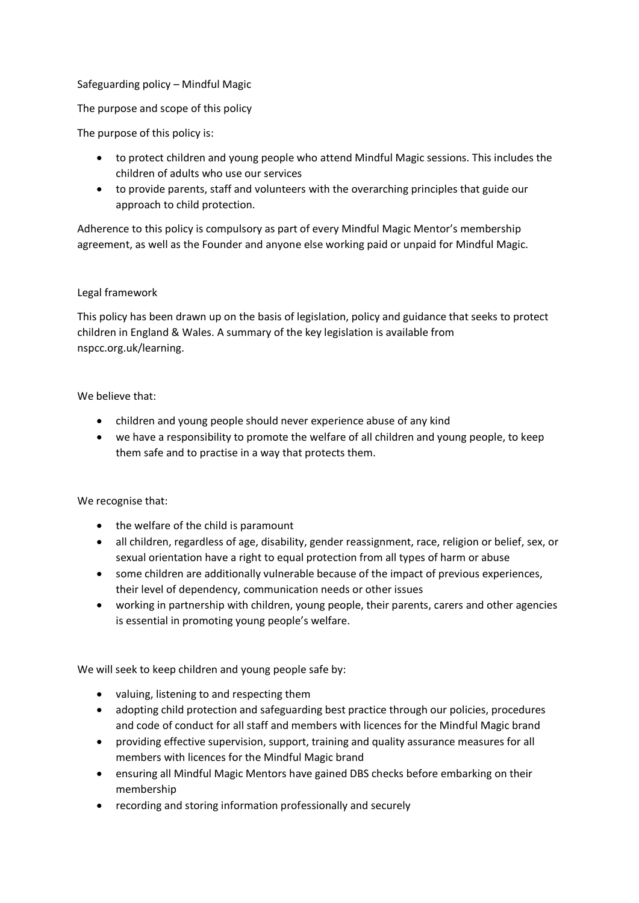## Safeguarding policy – Mindful Magic

The purpose and scope of this policy

The purpose of this policy is:

- to protect children and young people who attend Mindful Magic sessions. This includes the children of adults who use our services
- to provide parents, staff and volunteers with the overarching principles that guide our approach to child protection.

Adherence to this policy is compulsory as part of every Mindful Magic Mentor's membership agreement, as well as the Founder and anyone else working paid or unpaid for Mindful Magic.

## Legal framework

This policy has been drawn up on the basis of legislation, policy and guidance that seeks to protect children in England & Wales. A summary of the key legislation is available from nspcc.org.uk/learning.

## We believe that:

- children and young people should never experience abuse of any kind
- we have a responsibility to promote the welfare of all children and young people, to keep them safe and to practise in a way that protects them.

We recognise that:

- the welfare of the child is paramount
- all children, regardless of age, disability, gender reassignment, race, religion or belief, sex, or sexual orientation have a right to equal protection from all types of harm or abuse
- some children are additionally vulnerable because of the impact of previous experiences, their level of dependency, communication needs or other issues
- working in partnership with children, young people, their parents, carers and other agencies is essential in promoting young people's welfare.

We will seek to keep children and young people safe by:

- valuing, listening to and respecting them
- adopting child protection and safeguarding best practice through our policies, procedures and code of conduct for all staff and members with licences for the Mindful Magic brand
- providing effective supervision, support, training and quality assurance measures for all members with licences for the Mindful Magic brand
- ensuring all Mindful Magic Mentors have gained DBS checks before embarking on their membership
- recording and storing information professionally and securely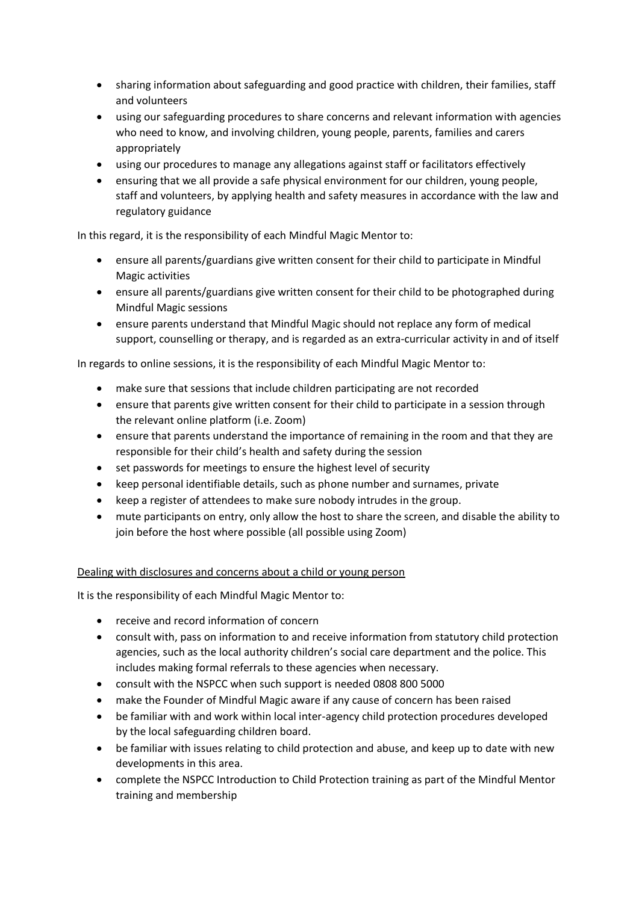- sharing information about safeguarding and good practice with children, their families, staff and volunteers
- using our safeguarding procedures to share concerns and relevant information with agencies who need to know, and involving children, young people, parents, families and carers appropriately
- using our procedures to manage any allegations against staff or facilitators effectively
- ensuring that we all provide a safe physical environment for our children, young people, staff and volunteers, by applying health and safety measures in accordance with the law and regulatory guidance

In this regard, it is the responsibility of each Mindful Magic Mentor to:

- ensure all parents/guardians give written consent for their child to participate in Mindful Magic activities
- ensure all parents/guardians give written consent for their child to be photographed during Mindful Magic sessions
- ensure parents understand that Mindful Magic should not replace any form of medical support, counselling or therapy, and is regarded as an extra-curricular activity in and of itself

In regards to online sessions, it is the responsibility of each Mindful Magic Mentor to:

- make sure that sessions that include children participating are not recorded
- ensure that parents give written consent for their child to participate in a session through the relevant online platform (i.e. Zoom)
- ensure that parents understand the importance of remaining in the room and that they are responsible for their child's health and safety during the session
- set passwords for meetings to ensure the highest level of security
- keep personal identifiable details, such as phone number and surnames, private
- keep a register of attendees to make sure nobody intrudes in the group.
- mute participants on entry, only allow the host to share the screen, and disable the ability to join before the host where possible (all possible using Zoom)

## Dealing with disclosures and concerns about a child or young person

It is the responsibility of each Mindful Magic Mentor to:

- receive and record information of concern
- consult with, pass on information to and receive information from statutory child protection agencies, such as the local authority children's social care department and the police. This includes making formal referrals to these agencies when necessary.
- consult with the NSPCC when such support is needed 0808 800 5000
- make the Founder of Mindful Magic aware if any cause of concern has been raised
- be familiar with and work within local inter-agency child protection procedures developed by the local safeguarding children board.
- be familiar with issues relating to child protection and abuse, and keep up to date with new developments in this area.
- complete the NSPCC Introduction to Child Protection training as part of the Mindful Mentor training and membership